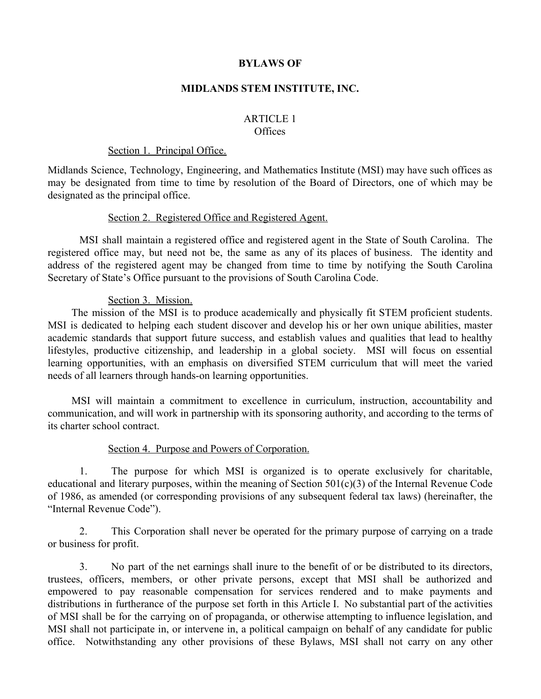## **BYLAWS OF**

## **MIDLANDS STEM INSTITUTE, INC.**

#### ARTICLE 1 **Offices**

#### Section 1. Principal Office.

Midlands Science, Technology, Engineering, and Mathematics Institute (MSI) may have such offices as may be designated from time to time by resolution of the Board of Directors, one of which may be designated as the principal office.

#### Section 2. Registered Office and Registered Agent.

MSI shall maintain a registered office and registered agent in the State of South Carolina. The registered office may, but need not be, the same as any of its places of business. The identity and address of the registered agent may be changed from time to time by notifying the South Carolina Secretary of State's Office pursuant to the provisions of South Carolina Code.

### Section 3. Mission.

The mission of the MSI is to produce academically and physically fit STEM proficient students. MSI is dedicated to helping each student discover and develop his or her own unique abilities, master academic standards that support future success, and establish values and qualities that lead to healthy lifestyles, productive citizenship, and leadership in a global society. MSI will focus on essential learning opportunities, with an emphasis on diversified STEM curriculum that will meet the varied needs of all learners through hands-on learning opportunities.

MSI will maintain a commitment to excellence in curriculum, instruction, accountability and communication, and will work in partnership with its sponsoring authority, and according to the terms of its charter school contract.

## Section 4. Purpose and Powers of Corporation.

1. The purpose for which MSI is organized is to operate exclusively for charitable, educational and literary purposes, within the meaning of Section 501(c)(3) of the Internal Revenue Code of 1986, as amended (or corresponding provisions of any subsequent federal tax laws) (hereinafter, the "Internal Revenue Code").

2. This Corporation shall never be operated for the primary purpose of carrying on a trade or business for profit.

3. No part of the net earnings shall inure to the benefit of or be distributed to its directors, trustees, officers, members, or other private persons, except that MSI shall be authorized and empowered to pay reasonable compensation for services rendered and to make payments and distributions in furtherance of the purpose set forth in this Article I. No substantial part of the activities of MSI shall be for the carrying on of propaganda, or otherwise attempting to influence legislation, and MSI shall not participate in, or intervene in, a political campaign on behalf of any candidate for public office. Notwithstanding any other provisions of these Bylaws, MSI shall not carry on any other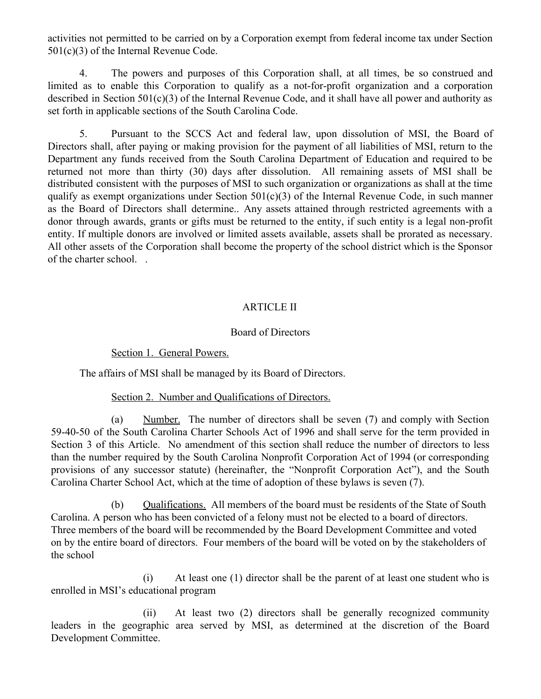activities not permitted to be carried on by a Corporation exempt from federal income tax under Section 501(c)(3) of the Internal Revenue Code.

4. The powers and purposes of this Corporation shall, at all times, be so construed and limited as to enable this Corporation to qualify as a not-for-profit organization and a corporation described in Section 501(c)(3) of the Internal Revenue Code, and it shall have all power and authority as set forth in applicable sections of the South Carolina Code.

5. Pursuant to the SCCS Act and federal law, upon dissolution of MSI, the Board of Directors shall, after paying or making provision for the payment of all liabilities of MSI, return to the Department any funds received from the South Carolina Department of Education and required to be returned not more than thirty (30) days after dissolution. All remaining assets of MSI shall be distributed consistent with the purposes of MSI to such organization or organizations as shall at the time qualify as exempt organizations under Section 501(c)(3) of the Internal Revenue Code, in such manner as the Board of Directors shall determine.. Any assets attained through restricted agreements with a donor through awards, grants or gifts must be returned to the entity, if such entity is a legal non-profit entity. If multiple donors are involved or limited assets available, assets shall be prorated as necessary. All other assets of the Corporation shall become the property of the school district which is the Sponsor of the charter school. .

# ARTICLE II

## Board of Directors

## Section 1. General Powers.

The affairs of MSI shall be managed by its Board of Directors.

## Section 2. Number and Qualifications of Directors.

(a) Number. The number of directors shall be seven (7) and comply with Section 59-40-50 of the South Carolina Charter Schools Act of 1996 and shall serve for the term provided in Section 3 of this Article. No amendment of this section shall reduce the number of directors to less than the number required by the South Carolina Nonprofit Corporation Act of 1994 (or corresponding provisions of any successor statute) (hereinafter, the "Nonprofit Corporation Act"), and the South Carolina Charter School Act, which at the time of adoption of these bylaws is seven (7).

(b) Qualifications. All members of the board must be residents of the State of South Carolina. A person who has been convicted of a felony must not be elected to a board of directors. Three members of the board will be recommended by the Board Development Committee and voted on by the entire board of directors. Four members of the board will be voted on by the stakeholders of the school

(i) At least one (1) director shall be the parent of at least one student who is enrolled in MSI's educational program

(ii) At least two (2) directors shall be generally recognized community leaders in the geographic area served by MSI, as determined at the discretion of the Board Development Committee.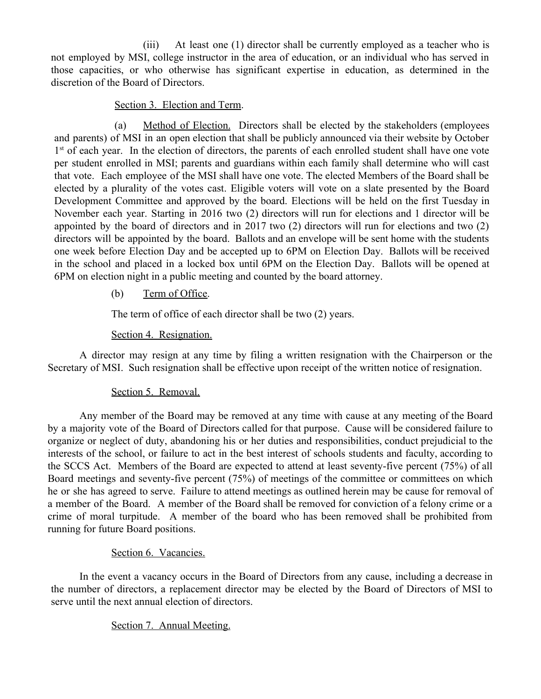(iii) At least one (1) director shall be currently employed as a teacher who is not employed by MSI, college instructor in the area of education, or an individual who has served in those capacities, or who otherwise has significant expertise in education, as determined in the discretion of the Board of Directors.

## Section 3. Election and Term.

(a) Method of Election. Directors shall be elected by the stakeholders (employees and parents) of MSI in an open election that shall be publicly announced via their website by October 1<sup>st</sup> of each year. In the election of directors, the parents of each enrolled student shall have one vote per student enrolled in MSI; parents and guardians within each family shall determine who will cast that vote. Each employee of the MSI shall have one vote. The elected Members of the Board shall be elected by a plurality of the votes cast. Eligible voters will vote on a slate presented by the Board Development Committee and approved by the board. Elections will be held on the first Tuesday in November each year. Starting in 2016 two (2) directors will run for elections and 1 director will be appointed by the board of directors and in 2017 two (2) directors will run for elections and two (2) directors will be appointed by the board. Ballots and an envelope will be sent home with the students one week before Election Day and be accepted up to 6PM on Election Day. Ballots will be received in the school and placed in a locked box until 6PM on the Election Day. Ballots will be opened at 6PM on election night in a public meeting and counted by the board attorney.

# (b) Term of Office.

The term of office of each director shall be two (2) years.

# Section 4. Resignation.

A director may resign at any time by filing a written resignation with the Chairperson or the Secretary of MSI. Such resignation shall be effective upon receipt of the written notice of resignation.

# Section 5. Removal.

Any member of the Board may be removed at any time with cause at any meeting of the Board by a majority vote of the Board of Directors called for that purpose. Cause will be considered failure to organize or neglect of duty, abandoning his or her duties and responsibilities, conduct prejudicial to the interests of the school, or failure to act in the best interest of schools students and faculty, according to the SCCS Act. Members of the Board are expected to attend at least seventy-five percent (75%) of all Board meetings and seventy-five percent (75%) of meetings of the committee or committees on which he or she has agreed to serve. Failure to attend meetings as outlined herein may be cause for removal of a member of the Board. A member of the Board shall be removed for conviction of a felony crime or a crime of moral turpitude. A member of the board who has been removed shall be prohibited from running for future Board positions.

# Section 6. Vacancies.

In the event a vacancy occurs in the Board of Directors from any cause, including a decrease in the number of directors, a replacement director may be elected by the Board of Directors of MSI to serve until the next annual election of directors.

# Section 7. Annual Meeting.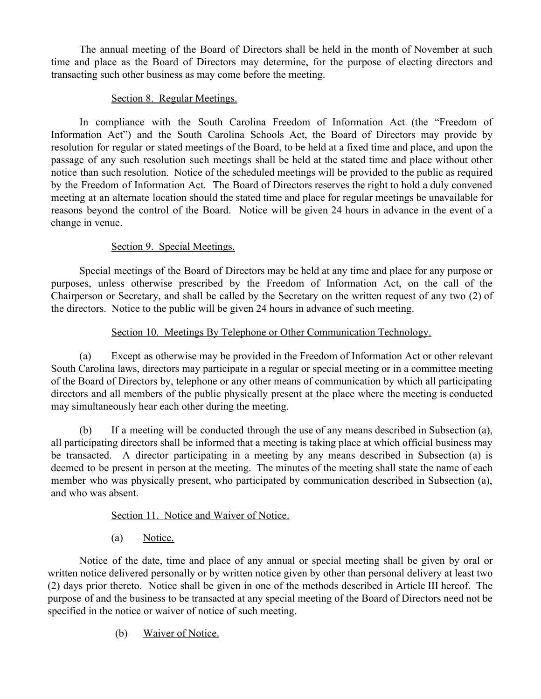The annual meeting of the Board of Directors shall be held in the month of November at such time and place as the Board of Directors may determine, for the purpose of electing directors and transacting such other business as may come before the meeting.

# Section 8. Regular Meetings.

In compliance with the South Carolina Freedom of Information Act (the "Freedom of Information Act") and the South Carolina Schools Act, the Board of Directors may provide by resolution for regular or stated meetings of the Board, to be held at a fixed time and place, and upon the passage of any such resolution such meetings shall be held at the stated time and place without other notice than such resolution. Notice of the scheduled meetings will be provided to the public as required by the Freedom of Information Act. The Board of Directors reserves the right to hold a duly convened meeting at an alternate location should the stated time and place for regular meetings be unavailable for reasons beyond the control of the Board. Notice will be given 24 hours in advance in the event of a change in venue.

# Section 9. Special Meetings.

Special meetings of the Board of Directors may be held at any time and place for any purpose or purposes, unless otherwise prescribed by the Freedom of Information Act, on the call of the Chairperson or Secretary, and shall be called by the Secretary on the written request of any two (2) of the directors. Notice to the public will be given 24 hours in advance of such meeting.

# Section 10. Meetings By Telephone or Other Communication Technology.

(a) Except as otherwise may be provided in the Freedom of Information Act or other relevant South Carolina laws, directors may participate in a regular or special meeting or in a committee meeting of the Board of Directors by, telephone or any other means of communication by which all participating directors and all members of the public physically present at the place where the meeting is conducted may simultaneously hear each other during the meeting.

(b) If a meeting will be conducted through the use of any means described in Subsection (a), all participating directors shall be informed that a meeting is taking place at which official business may be transacted. A director participating in a meeting by any means described in Subsection (a) is deemed to be present in person at the meeting. The minutes of the meeting shall state the name of each member who was physically present, who participated by communication described in Subsection (a), and who was absent.

# Section 11. Notice and Waiver of Notice.

(a) Notice.

Notice of the date, time and place of any annual or special meeting shall be given by oral or written notice delivered personally or by written notice given by other than personal delivery at least two (2) days prior thereto. Notice shall be given in one of the methods described in Article III hereof. The purpose of and the business to be transacted at any special meeting of the Board of Directors need not be specified in the notice or waiver of notice of such meeting.

(b) Waiver of Notice.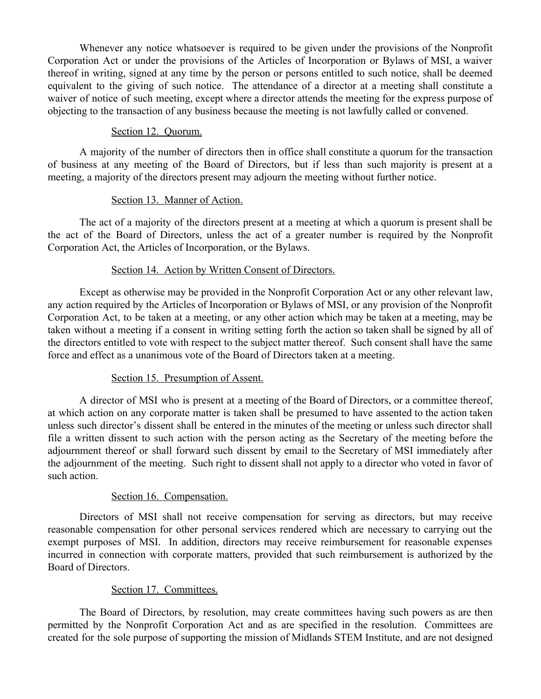Whenever any notice whatsoever is required to be given under the provisions of the Nonprofit Corporation Act or under the provisions of the Articles of Incorporation or Bylaws of MSI, a waiver thereof in writing, signed at any time by the person or persons entitled to such notice, shall be deemed equivalent to the giving of such notice. The attendance of a director at a meeting shall constitute a waiver of notice of such meeting, except where a director attends the meeting for the express purpose of objecting to the transaction of any business because the meeting is not lawfully called or convened.

## Section 12. Quorum.

A majority of the number of directors then in office shall constitute a quorum for the transaction of business at any meeting of the Board of Directors, but if less than such majority is present at a meeting, a majority of the directors present may adjourn the meeting without further notice.

## Section 13. Manner of Action.

The act of a majority of the directors present at a meeting at which a quorum is present shall be the act of the Board of Directors, unless the act of a greater number is required by the Nonprofit Corporation Act, the Articles of Incorporation, or the Bylaws.

## Section 14. Action by Written Consent of Directors.

Except as otherwise may be provided in the Nonprofit Corporation Act or any other relevant law, any action required by the Articles of Incorporation or Bylaws of MSI, or any provision of the Nonprofit Corporation Act, to be taken at a meeting, or any other action which may be taken at a meeting, may be taken without a meeting if a consent in writing setting forth the action so taken shall be signed by all of the directors entitled to vote with respect to the subject matter thereof. Such consent shall have the same force and effect as a unanimous vote of the Board of Directors taken at a meeting.

# Section 15. Presumption of Assent.

A director of MSI who is present at a meeting of the Board of Directors, or a committee thereof, at which action on any corporate matter is taken shall be presumed to have assented to the action taken unless such director's dissent shall be entered in the minutes of the meeting or unless such director shall file a written dissent to such action with the person acting as the Secretary of the meeting before the adjournment thereof or shall forward such dissent by email to the Secretary of MSI immediately after the adjournment of the meeting. Such right to dissent shall not apply to a director who voted in favor of such action.

# Section 16. Compensation.

Directors of MSI shall not receive compensation for serving as directors, but may receive reasonable compensation for other personal services rendered which are necessary to carrying out the exempt purposes of MSI. In addition, directors may receive reimbursement for reasonable expenses incurred in connection with corporate matters, provided that such reimbursement is authorized by the Board of Directors.

# Section 17. Committees.

The Board of Directors, by resolution, may create committees having such powers as are then permitted by the Nonprofit Corporation Act and as are specified in the resolution. Committees are created for the sole purpose of supporting the mission of Midlands STEM Institute, and are not designed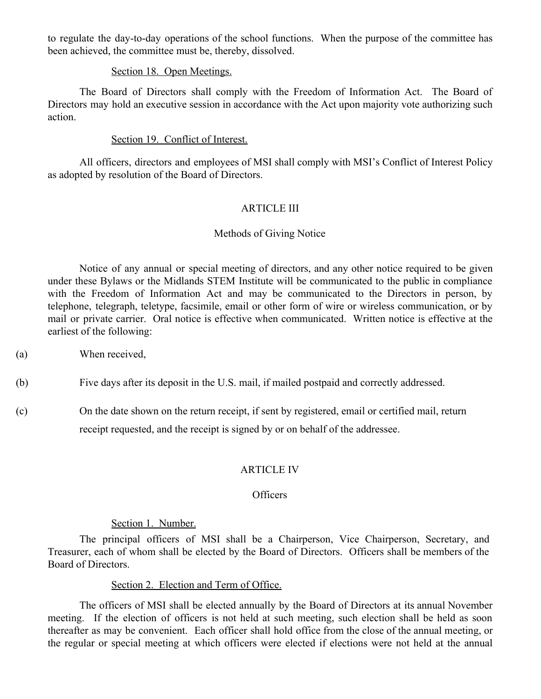to regulate the day-to-day operations of the school functions. When the purpose of the committee has been achieved, the committee must be, thereby, dissolved.

#### Section 18. Open Meetings.

The Board of Directors shall comply with the Freedom of Information Act. The Board of Directors may hold an executive session in accordance with the Act upon majority vote authorizing such action.

### Section 19. Conflict of Interest.

All officers, directors and employees of MSI shall comply with MSI's Conflict of Interest Policy as adopted by resolution of the Board of Directors.

## ARTICLE III

## Methods of Giving Notice

Notice of any annual or special meeting of directors, and any other notice required to be given under these Bylaws or the Midlands STEM Institute will be communicated to the public in compliance with the Freedom of Information Act and may be communicated to the Directors in person, by telephone, telegraph, teletype, facsimile, email or other form of wire or wireless communication, or by mail or private carrier. Oral notice is effective when communicated. Written notice is effective at the earliest of the following:

- (a) When received,
- (b) Five days after its deposit in the U.S. mail, if mailed postpaid and correctly addressed.
- (c) On the date shown on the return receipt, if sent by registered, email or certified mail, return receipt requested, and the receipt is signed by or on behalf of the addressee.

#### ARTICLE IV

## **Officers**

#### Section 1. Number.

The principal officers of MSI shall be a Chairperson, Vice Chairperson, Secretary, and Treasurer, each of whom shall be elected by the Board of Directors. Officers shall be members of the Board of Directors.

#### Section 2. Election and Term of Office.

The officers of MSI shall be elected annually by the Board of Directors at its annual November meeting. If the election of officers is not held at such meeting, such election shall be held as soon thereafter as may be convenient. Each officer shall hold office from the close of the annual meeting, or the regular or special meeting at which officers were elected if elections were not held at the annual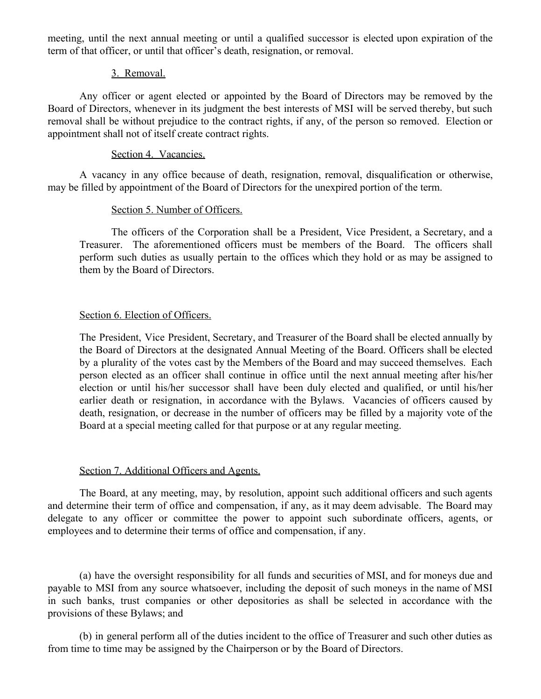meeting, until the next annual meeting or until a qualified successor is elected upon expiration of the term of that officer, or until that officer's death, resignation, or removal.

## 3. Removal.

Any officer or agent elected or appointed by the Board of Directors may be removed by the Board of Directors, whenever in its judgment the best interests of MSI will be served thereby, but such removal shall be without prejudice to the contract rights, if any, of the person so removed. Election or appointment shall not of itself create contract rights.

## Section 4. Vacancies.

A vacancy in any office because of death, resignation, removal, disqualification or otherwise, may be filled by appointment of the Board of Directors for the unexpired portion of the term.

### Section 5. Number of Officers.

The officers of the Corporation shall be a President, Vice President, a Secretary, and a Treasurer. The aforementioned officers must be members of the Board. The officers shall perform such duties as usually pertain to the offices which they hold or as may be assigned to them by the Board of Directors.

### Section 6. Election of Officers.

The President, Vice President, Secretary, and Treasurer of the Board shall be elected annually by the Board of Directors at the designated Annual Meeting of the Board. Officers shall be elected by a plurality of the votes cast by the Members of the Board and may succeed themselves. Each person elected as an officer shall continue in office until the next annual meeting after his/her election or until his/her successor shall have been duly elected and qualified, or until his/her earlier death or resignation, in accordance with the Bylaws. Vacancies of officers caused by death, resignation, or decrease in the number of officers may be filled by a majority vote of the Board at a special meeting called for that purpose or at any regular meeting.

#### Section 7. Additional Officers and Agents.

The Board, at any meeting, may, by resolution, appoint such additional officers and such agents and determine their term of office and compensation, if any, as it may deem advisable. The Board may delegate to any officer or committee the power to appoint such subordinate officers, agents, or employees and to determine their terms of office and compensation, if any.

(a) have the oversight responsibility for all funds and securities of MSI, and for moneys due and payable to MSI from any source whatsoever, including the deposit of such moneys in the name of MSI in such banks, trust companies or other depositories as shall be selected in accordance with the provisions of these Bylaws; and

(b) in general perform all of the duties incident to the office of Treasurer and such other duties as from time to time may be assigned by the Chairperson or by the Board of Directors.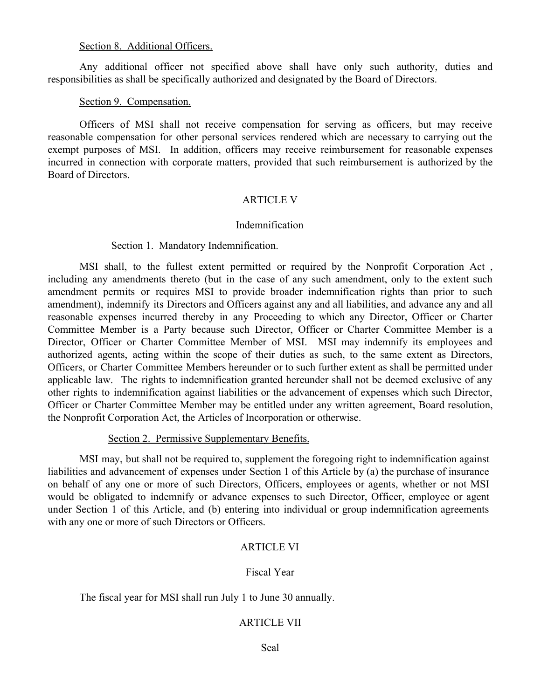#### Section 8. Additional Officers.

Any additional officer not specified above shall have only such authority, duties and responsibilities as shall be specifically authorized and designated by the Board of Directors.

## Section 9. Compensation.

Officers of MSI shall not receive compensation for serving as officers, but may receive reasonable compensation for other personal services rendered which are necessary to carrying out the exempt purposes of MSI. In addition, officers may receive reimbursement for reasonable expenses incurred in connection with corporate matters, provided that such reimbursement is authorized by the Board of Directors.

## ARTICLE V

### Indemnification

### Section 1. Mandatory Indemnification.

MSI shall, to the fullest extent permitted or required by the Nonprofit Corporation Act , including any amendments thereto (but in the case of any such amendment, only to the extent such amendment permits or requires MSI to provide broader indemnification rights than prior to such amendment), indemnify its Directors and Officers against any and all liabilities, and advance any and all reasonable expenses incurred thereby in any Proceeding to which any Director, Officer or Charter Committee Member is a Party because such Director, Officer or Charter Committee Member is a Director, Officer or Charter Committee Member of MSI. MSI may indemnify its employees and authorized agents, acting within the scope of their duties as such, to the same extent as Directors, Officers, or Charter Committee Members hereunder or to such further extent as shall be permitted under applicable law. The rights to indemnification granted hereunder shall not be deemed exclusive of any other rights to indemnification against liabilities or the advancement of expenses which such Director, Officer or Charter Committee Member may be entitled under any written agreement, Board resolution, the Nonprofit Corporation Act, the Articles of Incorporation or otherwise.

## Section 2. Permissive Supplementary Benefits.

MSI may, but shall not be required to, supplement the foregoing right to indemnification against liabilities and advancement of expenses under Section 1 of this Article by (a) the purchase of insurance on behalf of any one or more of such Directors, Officers, employees or agents, whether or not MSI would be obligated to indemnify or advance expenses to such Director, Officer, employee or agent under Section 1 of this Article, and (b) entering into individual or group indemnification agreements with any one or more of such Directors or Officers.

## ARTICLE VI

## Fiscal Year

The fiscal year for MSI shall run July 1 to June 30 annually.

## ARTICLE VII